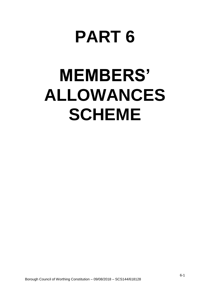## **PART 6**

# **MEMBERS' ALLOWANCES SCHEME**